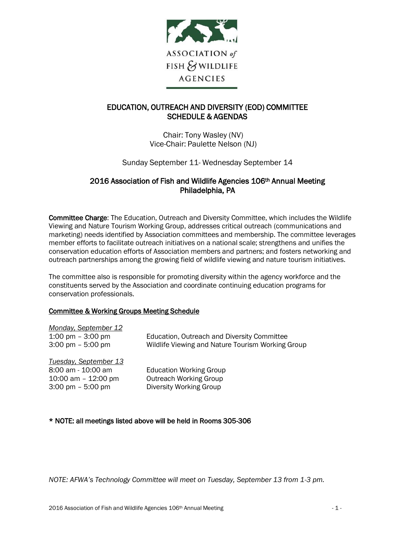

# EDUCATION, OUTREACH AND DIVERSITY (EOD) COMMITTEE SCHEDULE & AGENDAS

Chair: Tony Wasley (NV) Vice-Chair: Paulette Nelson (NJ)

Sunday September 11- Wednesday September 14

## 2016 Association of Fish and Wildlife Agencies 106<sup>th</sup> Annual Meeting Philadelphia, PA

Committee Charge: The Education, Outreach and Diversity Committee, which includes the Wildlife Viewing and Nature Tourism Working Group, addresses critical outreach (communications and marketing) needs identified by Association committees and membership. The committee leverages member efforts to facilitate outreach initiatives on a national scale; strengthens and unifies the conservation education efforts of Association members and partners; and fosters networking and outreach partnerships among the growing field of wildlife viewing and nature tourism initiatives.

The committee also is responsible for promoting diversity within the agency workforce and the constituents served by the Association and coordinate continuing education programs for conservation professionals.

## Committee & Working Groups Meeting Schedule

| <b>Monday, September 12</b>         |                                                   |
|-------------------------------------|---------------------------------------------------|
| 1:00 pm $-$ 3:00 pm                 | Education, Outreach and Diversity Committee       |
| $3:00 \text{ pm} - 5:00 \text{ pm}$ | Wildlife Viewing and Nature Tourism Working Group |
| Tuesday, September 13               |                                                   |
| 8:00 am - 10:00 am                  | <b>Education Working Group</b>                    |
| 10:00 am $-$ 12:00 pm               | <b>Outreach Working Group</b>                     |
| $3:00 \text{ pm} - 5:00 \text{ pm}$ | Diversity Working Group                           |
|                                     |                                                   |

## \* NOTE: all meetings listed above will be held in Rooms 305-306

*NOTE: AFWA's Technology Committee will meet on Tuesday, September 13 from 1-3 pm.*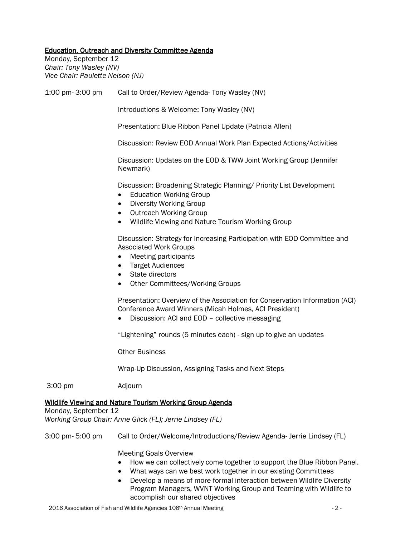#### Education, Outreach and Diversity Committee Agenda

Monday, September 12 *Chair: Tony Wasley (NV) Vice Chair: Paulette Nelson (NJ)*

1:00 pm- 3:00 pm Call to Order/Review Agenda- Tony Wasley (NV) Introductions & Welcome: Tony Wasley (NV) Presentation: Blue Ribbon Panel Update (Patricia Allen) Discussion: Review EOD Annual Work Plan Expected Actions/Activities Discussion: Updates on the EOD & TWW Joint Working Group (Jennifer Newmark) Discussion: Broadening Strategic Planning/ Priority List Development • Education Working Group • Diversity Working Group • Outreach Working Group • Wildlife Viewing and Nature Tourism Working Group Discussion: Strategy for Increasing Participation with EOD Committee and Associated Work Groups • Meeting participants • Target Audiences • State directors • Other Committees/Working Groups Presentation: Overview of the Association for Conservation Information (ACI) Conference Award Winners (Micah Holmes, ACI President) • Discussion: ACI and EOD – collective messaging "Lightening" rounds (5 minutes each) - sign up to give an updates Other Business Wrap-Up Discussion, Assigning Tasks and Next Steps 3:00 pm Adjourn Wildlife Viewing and Nature Tourism Working Group Agenda Monday, September 12 *Working Group Chair: Anne Glick (FL); Jerrie Lindsey (FL)* 3:00 pm- 5:00 pm Call to Order/Welcome/Introductions/Review Agenda- Jerrie Lindsey (FL)

Meeting Goals Overview

- How we can collectively come together to support the Blue Ribbon Panel.
- What ways can we best work together in our existing Committees
- Develop a means of more formal interaction between Wildlife Diversity Program Managers, WVNT Working Group and Teaming with Wildlife to accomplish our shared objectives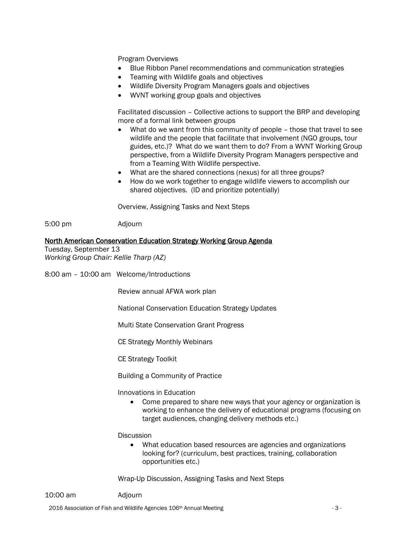Program Overviews

- Blue Ribbon Panel recommendations and communication strategies
- Teaming with Wildlife goals and objectives
- Wildlife Diversity Program Managers goals and objectives
- WVNT working group goals and objectives

Facilitated discussion – Collective actions to support the BRP and developing more of a formal link between groups

- What do we want from this community of people those that travel to see wildlife and the people that facilitate that involvement (NGO groups, tour guides, etc.)? What do we want them to do? From a WVNT Working Group perspective, from a Wildlife Diversity Program Managers perspective and from a Teaming With Wildlife perspective.
- What are the shared connections (nexus) for all three groups?
- How do we work together to engage wildlife viewers to accomplish our shared objectives. (ID and prioritize potentially)

Overview, Assigning Tasks and Next Steps

5:00 pm Adjourn

#### North American Conservation Education Strategy Working Group Agenda

Tuesday, September 13 *Working Group Chair: Kellie Tharp (AZ)*

8:00 am – 10:00 am Welcome/Introductions

Review annual AFWA work plan

National Conservation Education Strategy Updates

Multi State Conservation Grant Progress

CE Strategy Monthly Webinars

CE Strategy Toolkit

Building a Community of Practice

Innovations in Education

• Come prepared to share new ways that your agency or organization is working to enhance the delivery of educational programs (focusing on target audiences, changing delivery methods etc.)

**Discussion** 

• What education based resources are agencies and organizations looking for? (curriculum, best practices, training, collaboration opportunities etc.)

Wrap-Up Discussion, Assigning Tasks and Next Steps

10:00 am Adjourn